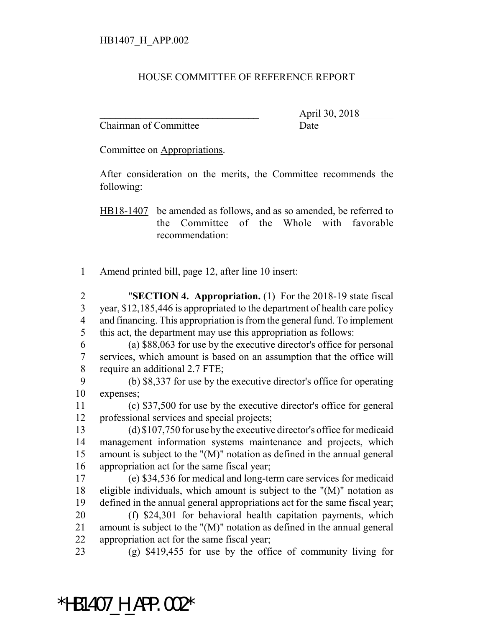## HOUSE COMMITTEE OF REFERENCE REPORT

Chairman of Committee Date

\_\_\_\_\_\_\_\_\_\_\_\_\_\_\_\_\_\_\_\_\_\_\_\_\_\_\_\_\_\_\_ April 30, 2018

Committee on Appropriations.

After consideration on the merits, the Committee recommends the following:

HB18-1407 be amended as follows, and as so amended, be referred to the Committee of the Whole with favorable recommendation:

Amend printed bill, page 12, after line 10 insert:

 "**SECTION 4. Appropriation.** (1) For the 2018-19 state fiscal year, \$12,185,446 is appropriated to the department of health care policy and financing. This appropriation is from the general fund. To implement this act, the department may use this appropriation as follows:

 (a) \$88,063 for use by the executive director's office for personal services, which amount is based on an assumption that the office will require an additional 2.7 FTE;

 (b) \$8,337 for use by the executive director's office for operating expenses;

 (c) \$37,500 for use by the executive director's office for general professional services and special projects;

 (d) \$107,750 for use by the executive director's office for medicaid management information systems maintenance and projects, which amount is subject to the "(M)" notation as defined in the annual general appropriation act for the same fiscal year;

 (e) \$34,536 for medical and long-term care services for medicaid eligible individuals, which amount is subject to the "(M)" notation as defined in the annual general appropriations act for the same fiscal year;

 (f) \$24,301 for behavioral health capitation payments, which amount is subject to the "(M)" notation as defined in the annual general appropriation act for the same fiscal year;

(g) \$419,455 for use by the office of community living for

## \*HB1407 H APP.002\*